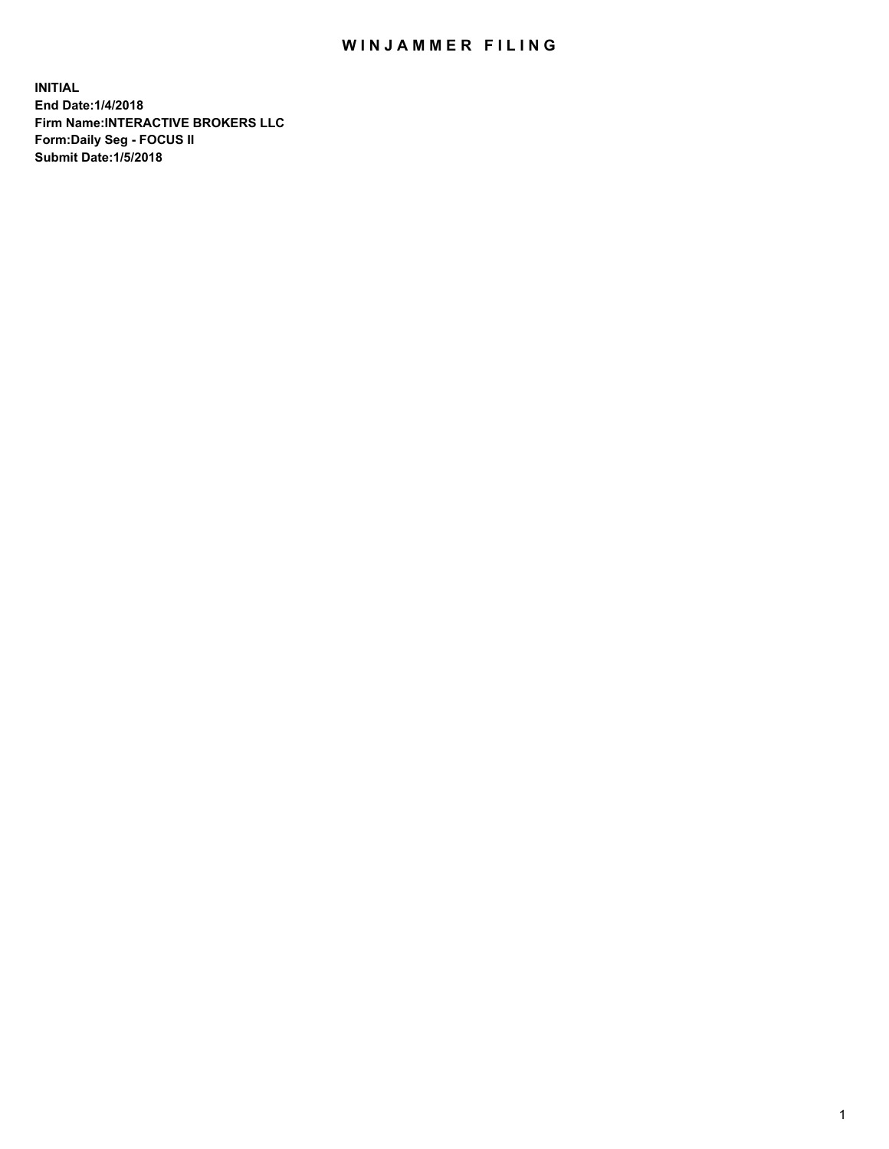## WIN JAMMER FILING

**INITIAL End Date:1/4/2018 Firm Name:INTERACTIVE BROKERS LLC Form:Daily Seg - FOCUS II Submit Date:1/5/2018**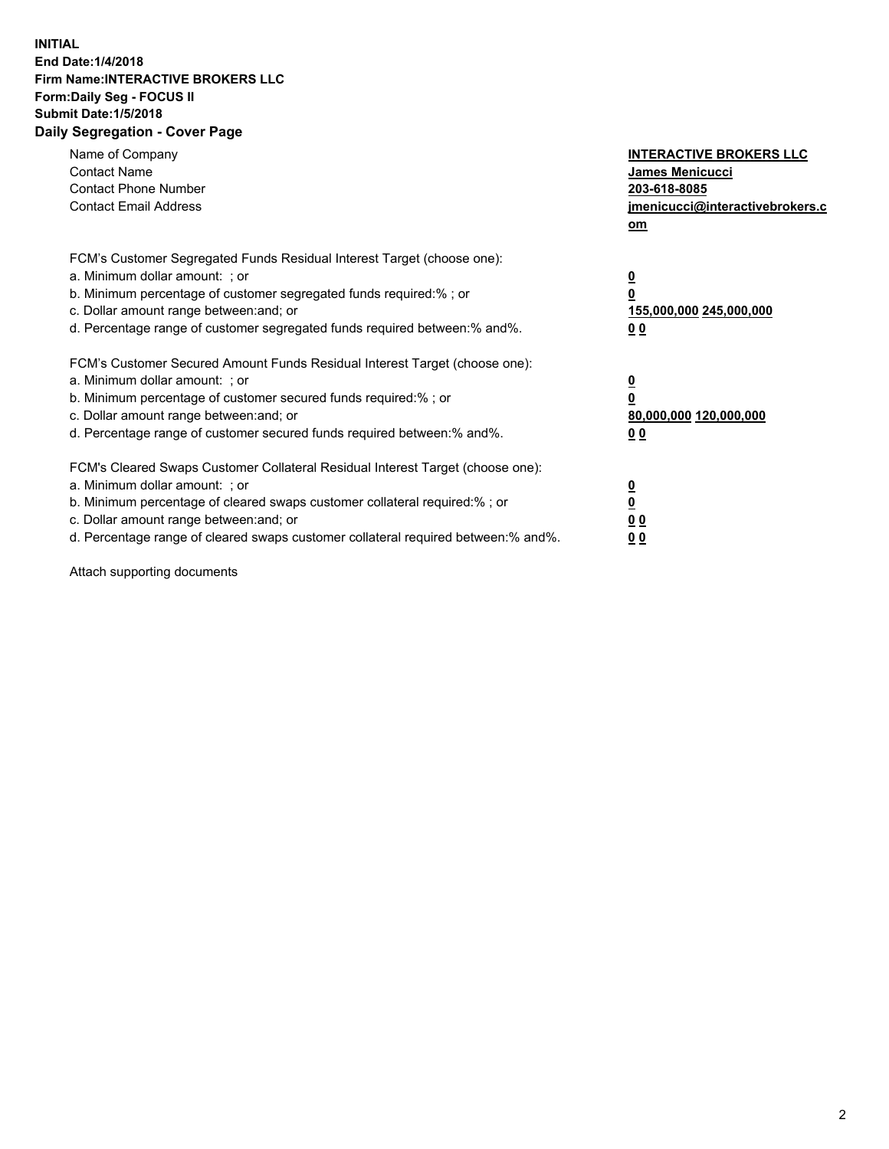## **INITIAL End Date:1/4/2018 Firm Name:INTERACTIVE BROKERS LLC Form:Daily Seg - FOCUS II Submit Date:1/5/2018 Daily Segregation - Cover Page**

| Name of Company<br><b>Contact Name</b><br><b>Contact Phone Number</b><br><b>Contact Email Address</b>                                                                                                                                                                                                                          | <b>INTERACTIVE BROKERS LLC</b><br>James Menicucci<br>203-618-8085<br>jmenicucci@interactivebrokers.c<br>om |
|--------------------------------------------------------------------------------------------------------------------------------------------------------------------------------------------------------------------------------------------------------------------------------------------------------------------------------|------------------------------------------------------------------------------------------------------------|
| FCM's Customer Segregated Funds Residual Interest Target (choose one):<br>a. Minimum dollar amount: ; or<br>b. Minimum percentage of customer segregated funds required:%; or<br>c. Dollar amount range between: and; or<br>d. Percentage range of customer segregated funds required between:% and%.                          | $\overline{\mathbf{0}}$<br>$\overline{\mathbf{0}}$<br>155,000,000 245,000,000<br>00                        |
| FCM's Customer Secured Amount Funds Residual Interest Target (choose one):<br>a. Minimum dollar amount: ; or<br>b. Minimum percentage of customer secured funds required:%; or<br>c. Dollar amount range between: and; or<br>d. Percentage range of customer secured funds required between: % and %.                          | $\overline{\mathbf{0}}$<br>0<br>80,000,000 120,000,000<br>00                                               |
| FCM's Cleared Swaps Customer Collateral Residual Interest Target (choose one):<br>a. Minimum dollar amount: ; or<br>b. Minimum percentage of cleared swaps customer collateral required:% ; or<br>c. Dollar amount range between: and; or<br>d. Percentage range of cleared swaps customer collateral required between:% and%. | $\overline{\mathbf{0}}$<br>$\underline{\mathbf{0}}$<br>0 <sub>0</sub><br>0 <sub>0</sub>                    |

Attach supporting documents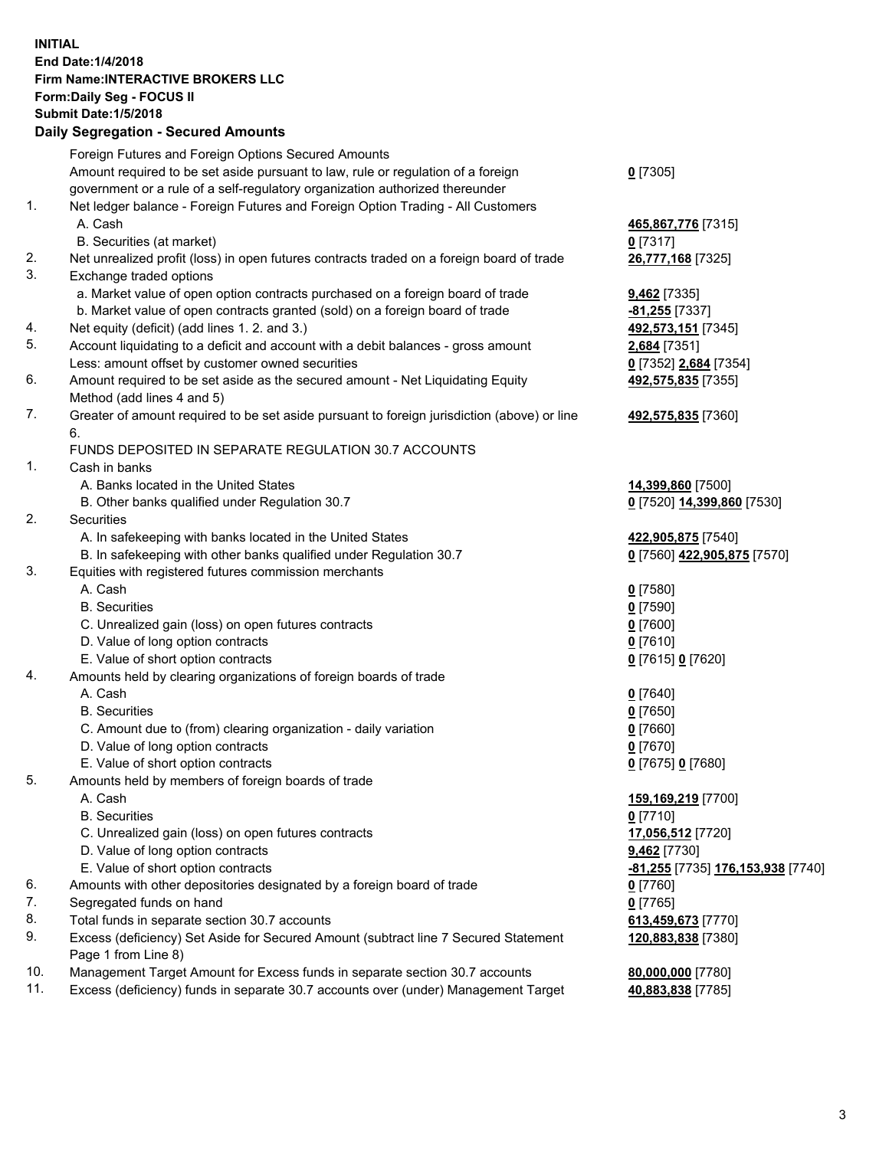## **INITIAL End Date:1/4/2018 Firm Name:INTERACTIVE BROKERS LLC Form:Daily Seg - FOCUS II Submit Date:1/5/2018 Daily Segregation - Secured Amounts**

|                | Daily Ocglegation - Occarea Anioants                                                                       |                                   |
|----------------|------------------------------------------------------------------------------------------------------------|-----------------------------------|
|                | Foreign Futures and Foreign Options Secured Amounts                                                        |                                   |
|                | Amount required to be set aside pursuant to law, rule or regulation of a foreign                           | $0$ [7305]                        |
|                | government or a rule of a self-regulatory organization authorized thereunder                               |                                   |
| 1.             | Net ledger balance - Foreign Futures and Foreign Option Trading - All Customers                            |                                   |
|                | A. Cash                                                                                                    | 465,867,776 [7315]                |
|                | B. Securities (at market)                                                                                  | $0$ [7317]                        |
| 2.             | Net unrealized profit (loss) in open futures contracts traded on a foreign board of trade                  | 26,777,168 [7325]                 |
| 3.             | Exchange traded options                                                                                    |                                   |
|                | a. Market value of open option contracts purchased on a foreign board of trade                             | <b>9,462</b> [7335]               |
|                | b. Market value of open contracts granted (sold) on a foreign board of trade                               | -81,255 [7337]                    |
| 4.             | Net equity (deficit) (add lines 1. 2. and 3.)                                                              | 492,573,151 [7345]                |
| 5.             | Account liquidating to a deficit and account with a debit balances - gross amount                          | 2,684 [7351]                      |
|                | Less: amount offset by customer owned securities                                                           | 0 [7352] 2,684 [7354]             |
| 6.             | Amount required to be set aside as the secured amount - Net Liquidating Equity                             | 492,575,835 [7355]                |
|                | Method (add lines 4 and 5)                                                                                 |                                   |
| 7.             | Greater of amount required to be set aside pursuant to foreign jurisdiction (above) or line                | 492,575,835 [7360]                |
|                | 6.                                                                                                         |                                   |
|                | FUNDS DEPOSITED IN SEPARATE REGULATION 30.7 ACCOUNTS                                                       |                                   |
| $\mathbf{1}$ . | Cash in banks                                                                                              |                                   |
|                | A. Banks located in the United States                                                                      | 14,399,860 [7500]                 |
|                | B. Other banks qualified under Regulation 30.7                                                             | 0 [7520] 14,399,860 [7530]        |
| 2.             | Securities                                                                                                 |                                   |
|                | A. In safekeeping with banks located in the United States                                                  | 422,905,875 [7540]                |
|                | B. In safekeeping with other banks qualified under Regulation 30.7                                         | 0 [7560] 422,905,875 [7570]       |
| 3.             | Equities with registered futures commission merchants                                                      |                                   |
|                | A. Cash                                                                                                    | $0$ [7580]                        |
|                | <b>B.</b> Securities                                                                                       | $0$ [7590]                        |
|                | C. Unrealized gain (loss) on open futures contracts                                                        | $0$ [7600]                        |
|                | D. Value of long option contracts                                                                          | $0$ [7610]                        |
|                | E. Value of short option contracts                                                                         | 0 [7615] 0 [7620]                 |
| 4.             | Amounts held by clearing organizations of foreign boards of trade                                          |                                   |
|                | A. Cash                                                                                                    | $0$ [7640]                        |
|                | <b>B.</b> Securities                                                                                       | $0$ [7650]                        |
|                | C. Amount due to (from) clearing organization - daily variation                                            | $0$ [7660]                        |
|                | D. Value of long option contracts                                                                          | $0$ [7670]                        |
|                | E. Value of short option contracts                                                                         | 0 [7675] 0 [7680]                 |
| 5.             | Amounts held by members of foreign boards of trade                                                         |                                   |
|                | A. Cash                                                                                                    | 159,169,219 [7700]                |
|                | <b>B.</b> Securities                                                                                       | $0$ [7710]                        |
|                | C. Unrealized gain (loss) on open futures contracts                                                        | 17,056,512 [7720]                 |
|                | D. Value of long option contracts                                                                          | 9,462 [7730]                      |
|                | E. Value of short option contracts                                                                         | -81,255 [7735] 176,153,938 [7740] |
| 6.             | Amounts with other depositories designated by a foreign board of trade                                     | 0 [7760]                          |
| 7.             | Segregated funds on hand                                                                                   | $0$ [7765]                        |
| 8.             | Total funds in separate section 30.7 accounts                                                              | 613,459,673 [7770]                |
| 9.             | Excess (deficiency) Set Aside for Secured Amount (subtract line 7 Secured Statement<br>Page 1 from Line 8) | 120,883,838 [7380]                |
| 10.            | Management Target Amount for Excess funds in separate section 30.7 accounts                                | 80,000,000 [7780]                 |
| 11.            | Excess (deficiency) funds in separate 30.7 accounts over (under) Management Target                         | 40,883,838 [7785]                 |
|                |                                                                                                            |                                   |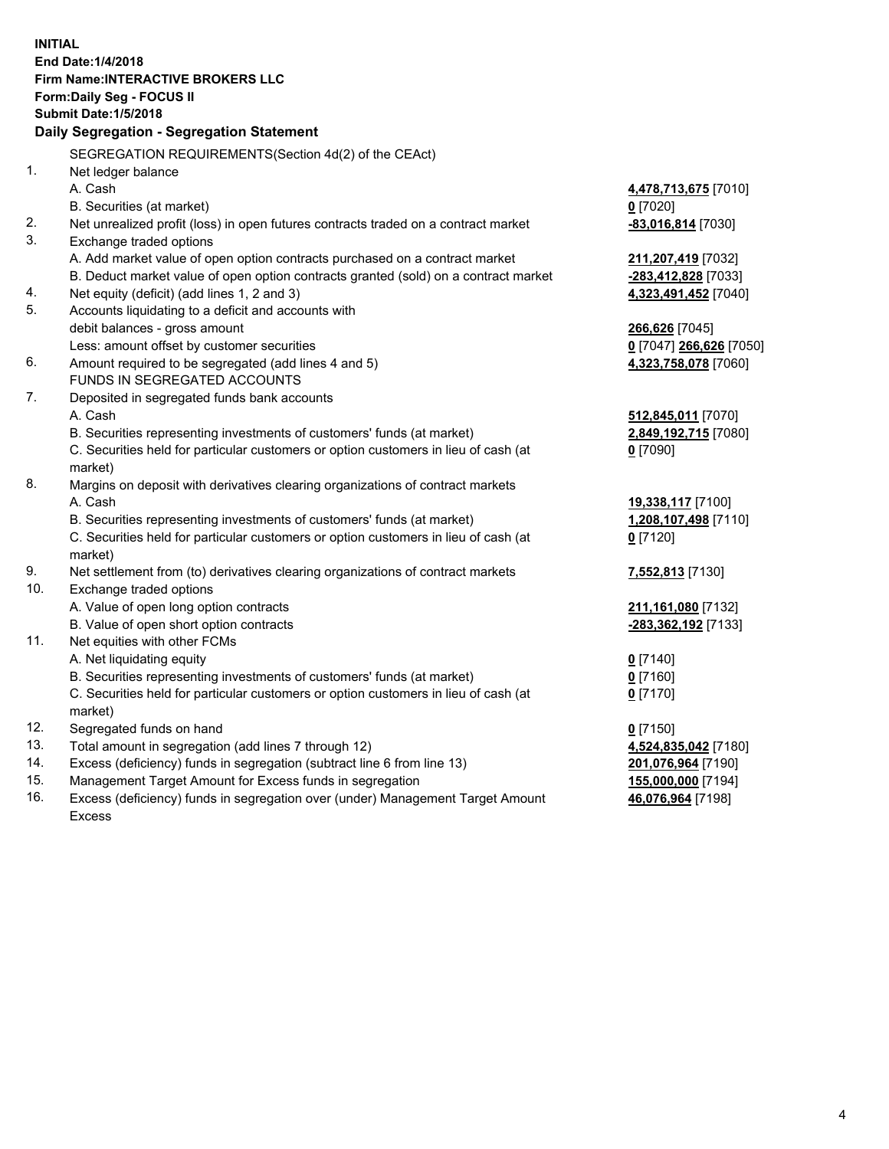**INITIAL End Date:1/4/2018 Firm Name:INTERACTIVE BROKERS LLC Form:Daily Seg - FOCUS II Submit Date:1/5/2018 Daily Segregation - Segregation Statement** SEGREGATION REQUIREMENTS(Section 4d(2) of the CEAct) 1. Net ledger balance A. Cash **4,478,713,675** [7010] B. Securities (at market) **0** [7020] 2. Net unrealized profit (loss) in open futures contracts traded on a contract market **-83,016,814** [7030] 3. Exchange traded options A. Add market value of open option contracts purchased on a contract market **211,207,419** [7032] B. Deduct market value of open option contracts granted (sold) on a contract market **-283,412,828** [7033] 4. Net equity (deficit) (add lines 1, 2 and 3) **4,323,491,452** [7040] 5. Accounts liquidating to a deficit and accounts with debit balances - gross amount **266,626** [7045] Less: amount offset by customer securities **0** [7047] **266,626** [7050] 6. Amount required to be segregated (add lines 4 and 5) **4,323,758,078** [7060] FUNDS IN SEGREGATED ACCOUNTS 7. Deposited in segregated funds bank accounts A. Cash **512,845,011** [7070] B. Securities representing investments of customers' funds (at market) **2,849,192,715** [7080] C. Securities held for particular customers or option customers in lieu of cash (at market) **0** [7090] 8. Margins on deposit with derivatives clearing organizations of contract markets A. Cash **19,338,117** [7100] B. Securities representing investments of customers' funds (at market) **1,208,107,498** [7110] C. Securities held for particular customers or option customers in lieu of cash (at market) **0** [7120] 9. Net settlement from (to) derivatives clearing organizations of contract markets **7,552,813** [7130] 10. Exchange traded options A. Value of open long option contracts **211,161,080** [7132] B. Value of open short option contracts **-283,362,192** [7133] 11. Net equities with other FCMs A. Net liquidating equity **0** [7140] B. Securities representing investments of customers' funds (at market) **0** [7160] C. Securities held for particular customers or option customers in lieu of cash (at market) **0** [7170] 12. Segregated funds on hand **0** [7150] 13. Total amount in segregation (add lines 7 through 12) **4,524,835,042** [7180] 14. Excess (deficiency) funds in segregation (subtract line 6 from line 13) **201,076,964** [7190] 15. Management Target Amount for Excess funds in segregation **155,000,000** [7194] **46,076,964** [7198]

16. Excess (deficiency) funds in segregation over (under) Management Target Amount Excess